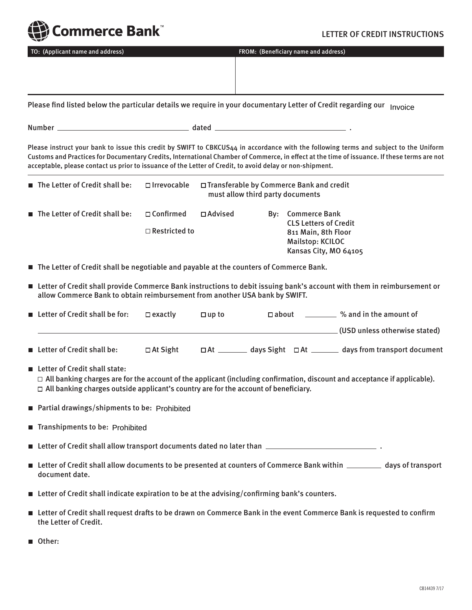

## TO: (Applicant name and address) FROM: (Beneficiary name and address)

Please find listed below the particular details we require in your documentary Letter of Credit regarding our <sub>Invoice</sub>

Number dated .

Please instruct your bank to issue this credit by SWIFT to CBKCUS44 in accordance with the following terms and subject to the Uniform Customs and Practices for Documentary Credits, International Chamber of Commerce, in effect at the time of issuance. If these terms are not acceptable, please contact us prior to issuance of the Letter of Credit, to avoid delay or non-shipment.

| The Letter of Credit shall be:                | $\Box$ Irrevocable                       |                  | $\Box$ Transferable by Commerce Bank and credit<br>must allow third party documents |                                                                                                                              |  |
|-----------------------------------------------|------------------------------------------|------------------|-------------------------------------------------------------------------------------|------------------------------------------------------------------------------------------------------------------------------|--|
| $\blacksquare$ The Letter of Credit shall be: | $\Box$ Confirmed<br>$\Box$ Restricted to | $\sqcap$ Advised |                                                                                     | By: Commerce Bank<br><b>CLS Letters of Credit</b><br>811 Main, 8th Floor<br><b>Mailstop: KCILOC</b><br>Kansas City, MO 64105 |  |

■ The Letter of Credit shall be negotiable and payable at the counters of Commerce Bank.

■ Letter of Credit shall provide Commerce Bank instructions to debit issuing bank's account with them in reimbursement or allow Commerce Bank to obtain reimbursement from another USA bank by SWIFT.

| ■ Letter of Credit shall be for:          | $\Box$ exactly  | $\square$ up to | $\Box$ about         | % and in the amount of          |
|-------------------------------------------|-----------------|-----------------|----------------------|---------------------------------|
|                                           |                 |                 |                      | . (USD unless otherwise stated) |
| $\blacksquare$ Letter of Credit shall be: | $\Box$ At Sight | $\Box$ At       | days Sight $\Box$ At | days from transport document    |

■ Letter of Credit shall state:

 $\Box$  All banking charges are for the account of the applicant (including confirmation, discount and acceptance if applicable).  $\Box$  All banking charges outside applicant's country are for the account of beneficiary.

- Partial drawings/shipments to be: Prohibited  $\blacksquare$
- Transhipments to be: Prohibited

 $\blacksquare$  Letter of Credit shall allow transport documents dated no later than  $\blacksquare$ 

- Letter of Credit shall allow documents to be presented at counters of Commerce Bank within \_\_\_\_\_\_\_\_\_\_ days of transport document date.
- Letter of Credit shall indicate expiration to be at the advising/confirming bank's counters.
- Letter of Credit shall request drafts to be drawn on Commerce Bank in the event Commerce Bank is requested to confirm the Letter of Credit.
- Other: